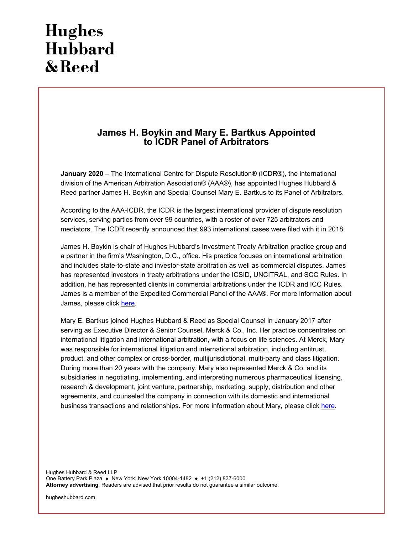## **Hughes Hubbard** & Reed

### **James H. Boykin and Mary E. Bartkus Appointed to ICDR Panel of Arbitrators**

**January 2020** – The International Centre for Dispute Resolution® (ICDR®), the international division of the American Arbitration Association® (AAA®), has appointed Hughes Hubbard & Reed partner James H. Boykin and Special Counsel Mary E. Bartkus to its Panel of Arbitrators.

According to the AAA-ICDR, the ICDR is the largest international provider of dispute resolution services, serving parties from over 99 countries, with a roster of over 725 arbitrators and mediators. The ICDR recently announced that 993 international cases were filed with it in 2018.

James H. Boykin is chair of Hughes Hubbard's Investment Treaty Arbitration practice group and a partner in the firm's Washington, D.C., office. His practice focuses on international arbitration and includes state-to-state and investor-state arbitration as well as commercial disputes. James has represented investors in treaty arbitrations under the ICSID, UNCITRAL, and SCC Rules. In addition, he has represented clients in commercial arbitrations under the ICDR and ICC Rules. James is a member of the Expedited Commercial Panel of the AAA®. For more information about James, please clic[k here.](https://www.hugheshubbard.com/attorneys/james-boykin) 

Mary E. Bartkus joined Hughes Hubbard & Reed as Special Counsel in January 2017 after serving as Executive Director & Senior Counsel, Merck & Co., Inc. Her practice concentrates on international litigation and international arbitration, with a focus on life sciences. At Merck, Mary was responsible for international litigation and international arbitration, including antitrust, product, and other complex or cross-border, multijurisdictional, multi-party and class litigation. During more than 20 years with the company, Mary also represented Merck & Co. and its subsidiaries in negotiating, implementing, and interpreting numerous pharmaceutical licensing, research & development, joint venture, partnership, marketing, supply, distribution and other agreements, and counseled the company in connection with its domestic and international business transactions and relationships. For more information about Mary, please clic[k here.](https://www.hugheshubbard.com/attorneys/mary-bartkus) 

Hughes Hubbard & Reed LLP One Battery Park Plaza ● New York, New York 10004-1482 ● +1 (212) 837-6000 **Attorney advertising**. Readers are advised that prior results do not guarantee a similar outcome.

hugheshubbard.com